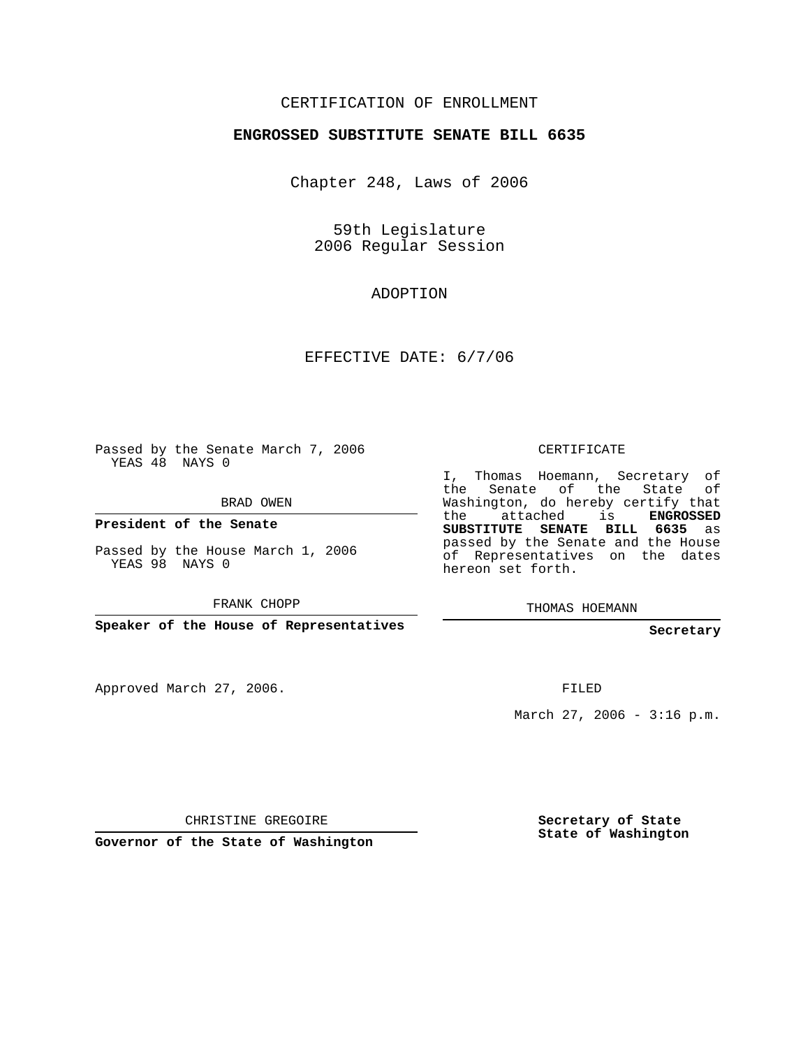## CERTIFICATION OF ENROLLMENT

### **ENGROSSED SUBSTITUTE SENATE BILL 6635**

Chapter 248, Laws of 2006

59th Legislature 2006 Regular Session

## ADOPTION

EFFECTIVE DATE: 6/7/06

Passed by the Senate March 7, 2006 YEAS 48 NAYS 0

BRAD OWEN

**President of the Senate**

Passed by the House March 1, 2006 YEAS 98 NAYS 0

FRANK CHOPP

**Speaker of the House of Representatives**

Approved March 27, 2006.

CERTIFICATE

I, Thomas Hoemann, Secretary of the Senate of the State of Washington, do hereby certify that the attached is **ENGROSSED SUBSTITUTE SENATE BILL 6635** as passed by the Senate and the House of Representatives on the dates hereon set forth.

THOMAS HOEMANN

#### **Secretary**

FILED

March 27, 2006 -  $3:16$  p.m.

CHRISTINE GREGOIRE

**Governor of the State of Washington**

**Secretary of State State of Washington**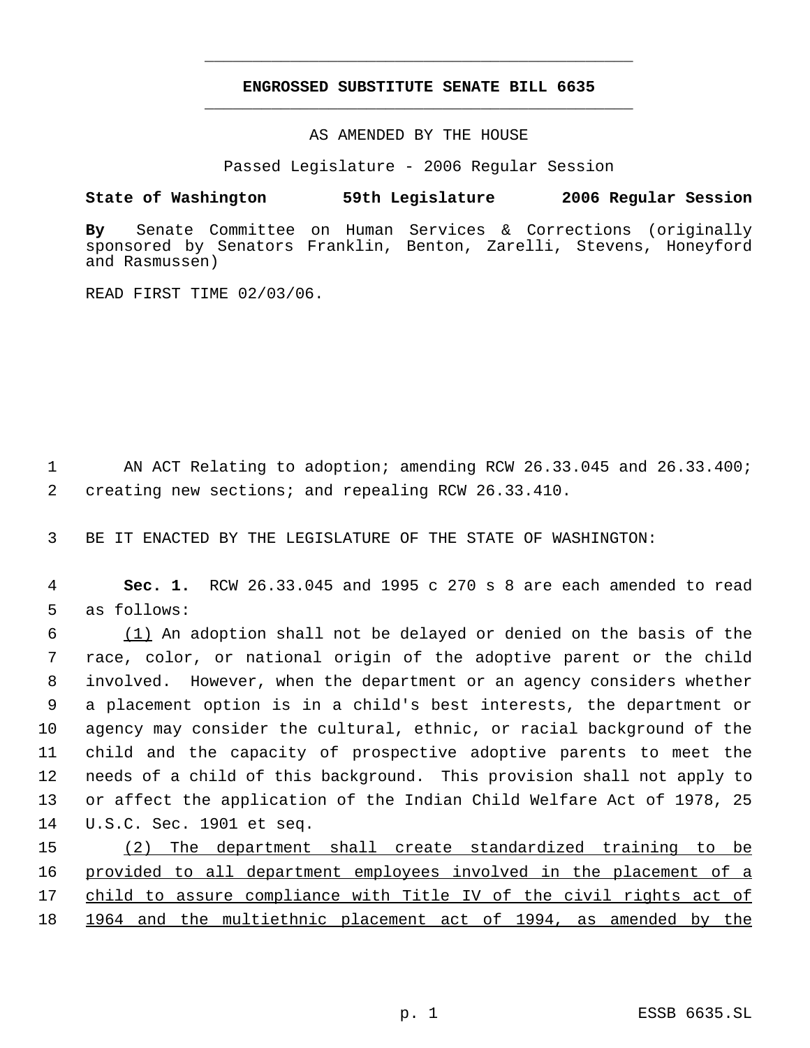# **ENGROSSED SUBSTITUTE SENATE BILL 6635** \_\_\_\_\_\_\_\_\_\_\_\_\_\_\_\_\_\_\_\_\_\_\_\_\_\_\_\_\_\_\_\_\_\_\_\_\_\_\_\_\_\_\_\_\_

\_\_\_\_\_\_\_\_\_\_\_\_\_\_\_\_\_\_\_\_\_\_\_\_\_\_\_\_\_\_\_\_\_\_\_\_\_\_\_\_\_\_\_\_\_

AS AMENDED BY THE HOUSE

Passed Legislature - 2006 Regular Session

### **State of Washington 59th Legislature 2006 Regular Session**

**By** Senate Committee on Human Services & Corrections (originally sponsored by Senators Franklin, Benton, Zarelli, Stevens, Honeyford and Rasmussen)

READ FIRST TIME 02/03/06.

 AN ACT Relating to adoption; amending RCW 26.33.045 and 26.33.400; creating new sections; and repealing RCW 26.33.410.

BE IT ENACTED BY THE LEGISLATURE OF THE STATE OF WASHINGTON:

 **Sec. 1.** RCW 26.33.045 and 1995 c 270 s 8 are each amended to read as follows:

 (1) An adoption shall not be delayed or denied on the basis of the race, color, or national origin of the adoptive parent or the child involved. However, when the department or an agency considers whether a placement option is in a child's best interests, the department or agency may consider the cultural, ethnic, or racial background of the child and the capacity of prospective adoptive parents to meet the needs of a child of this background. This provision shall not apply to or affect the application of the Indian Child Welfare Act of 1978, 25 U.S.C. Sec. 1901 et seq.

 (2) The department shall create standardized training to be provided to all department employees involved in the placement of a child to assure compliance with Title IV of the civil rights act of 1964 and the multiethnic placement act of 1994, as amended by the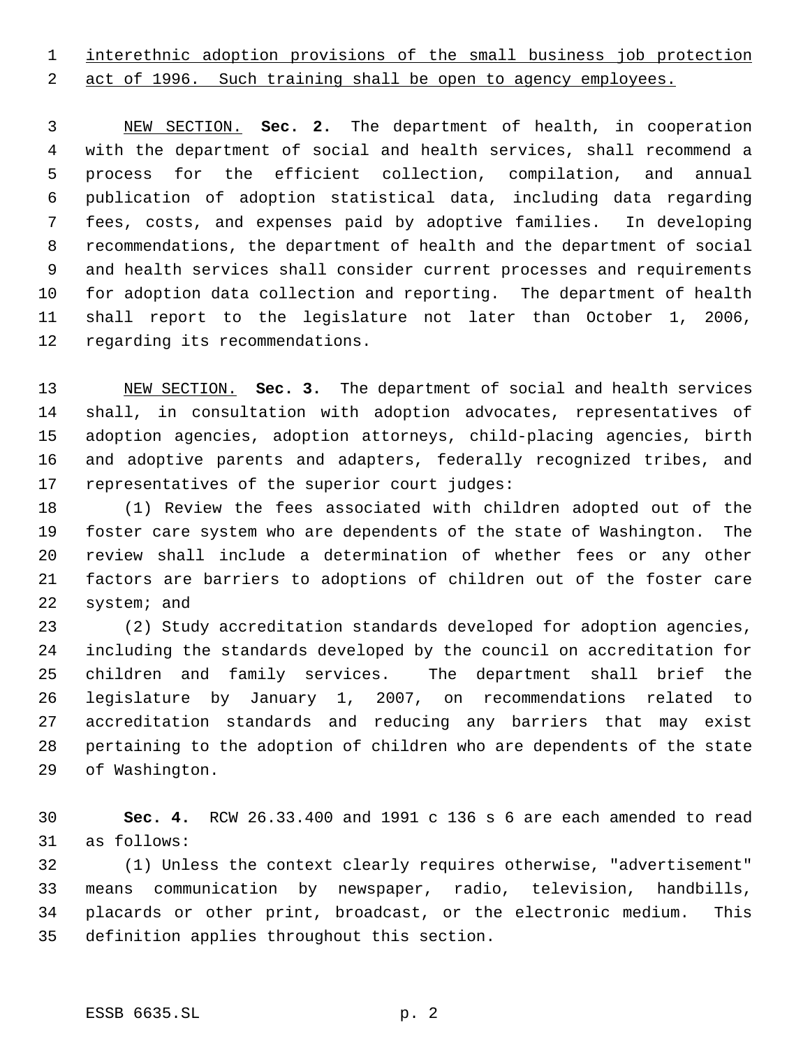interethnic adoption provisions of the small business job protection

2 act of 1996. Such training shall be open to agency employees.

 NEW SECTION. **Sec. 2.** The department of health, in cooperation with the department of social and health services, shall recommend a process for the efficient collection, compilation, and annual publication of adoption statistical data, including data regarding fees, costs, and expenses paid by adoptive families. In developing recommendations, the department of health and the department of social and health services shall consider current processes and requirements for adoption data collection and reporting. The department of health shall report to the legislature not later than October 1, 2006, regarding its recommendations.

 NEW SECTION. **Sec. 3.** The department of social and health services shall, in consultation with adoption advocates, representatives of adoption agencies, adoption attorneys, child-placing agencies, birth and adoptive parents and adapters, federally recognized tribes, and representatives of the superior court judges:

 (1) Review the fees associated with children adopted out of the foster care system who are dependents of the state of Washington. The review shall include a determination of whether fees or any other factors are barriers to adoptions of children out of the foster care system; and

 (2) Study accreditation standards developed for adoption agencies, including the standards developed by the council on accreditation for children and family services. The department shall brief the legislature by January 1, 2007, on recommendations related to accreditation standards and reducing any barriers that may exist pertaining to the adoption of children who are dependents of the state of Washington.

 **Sec. 4.** RCW 26.33.400 and 1991 c 136 s 6 are each amended to read as follows:

 (1) Unless the context clearly requires otherwise, "advertisement" means communication by newspaper, radio, television, handbills, placards or other print, broadcast, or the electronic medium. This definition applies throughout this section.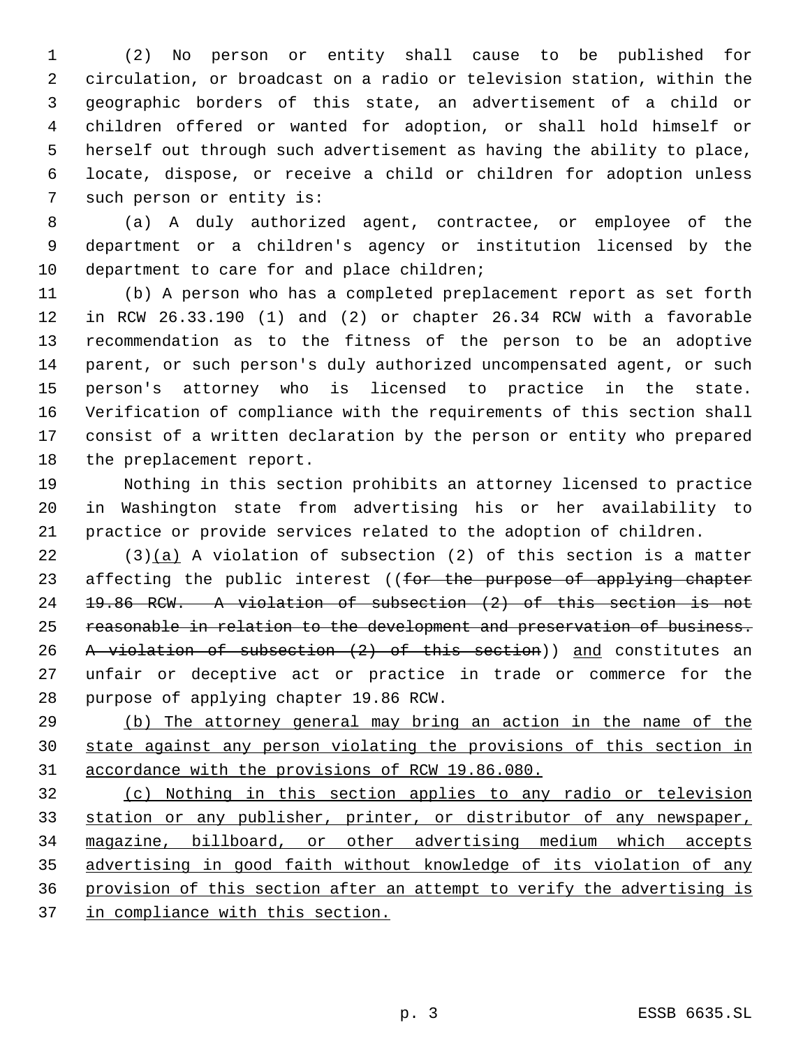(2) No person or entity shall cause to be published for circulation, or broadcast on a radio or television station, within the geographic borders of this state, an advertisement of a child or children offered or wanted for adoption, or shall hold himself or herself out through such advertisement as having the ability to place, locate, dispose, or receive a child or children for adoption unless such person or entity is:

 (a) A duly authorized agent, contractee, or employee of the department or a children's agency or institution licensed by the department to care for and place children;

 (b) A person who has a completed preplacement report as set forth in RCW 26.33.190 (1) and (2) or chapter 26.34 RCW with a favorable recommendation as to the fitness of the person to be an adoptive parent, or such person's duly authorized uncompensated agent, or such person's attorney who is licensed to practice in the state. Verification of compliance with the requirements of this section shall consist of a written declaration by the person or entity who prepared the preplacement report.

 Nothing in this section prohibits an attorney licensed to practice in Washington state from advertising his or her availability to practice or provide services related to the adoption of children.

 (3)(a) A violation of subsection (2) of this section is a matter 23 affecting the public interest ((for the purpose of applying chapter 19.86 RCW. A violation of subsection (2) of this section is not reasonable in relation to the development and preservation of business. 26 A violation of subsection (2) of this section)) and constitutes an unfair or deceptive act or practice in trade or commerce for the purpose of applying chapter 19.86 RCW.

 (b) The attorney general may bring an action in the name of the state against any person violating the provisions of this section in accordance with the provisions of RCW 19.86.080.

 (c) Nothing in this section applies to any radio or television 33 station or any publisher, printer, or distributor of any newspaper, magazine, billboard, or other advertising medium which accepts advertising in good faith without knowledge of its violation of any provision of this section after an attempt to verify the advertising is 37 in compliance with this section.